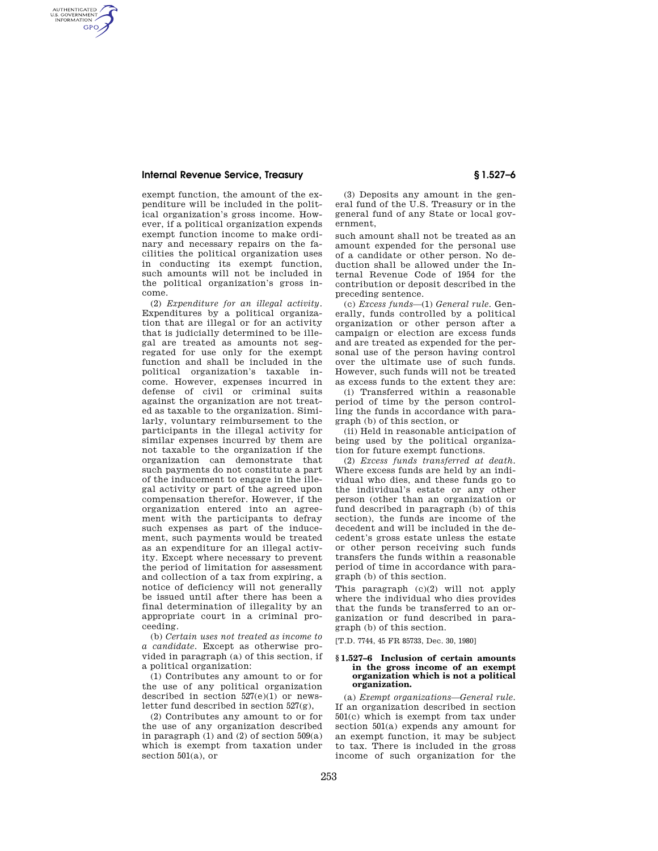### **Internal Revenue Service, Treasury § 1.527–6**

AUTHENTICATED<br>U.S. GOVERNMENT<br>INFORMATION **GPO** 

> exempt function, the amount of the expenditure will be included in the political organization's gross income. However, if a political organization expends exempt function income to make ordinary and necessary repairs on the facilities the political organization uses in conducting its exempt function, such amounts will not be included in the political organization's gross income.

(2) *Expenditure for an illegal activity.*  Expenditures by a political organization that are illegal or for an activity that is judicially determined to be illegal are treated as amounts not segregated for use only for the exempt function and shall be included in the political organization's taxable income. However, expenses incurred in defense of civil or criminal suits against the organization are not treated as taxable to the organization. Similarly, voluntary reimbursement to the participants in the illegal activity for similar expenses incurred by them are not taxable to the organization if the organization can demonstrate that such payments do not constitute a part of the inducement to engage in the illegal activity or part of the agreed upon compensation therefor. However, if the organization entered into an agreement with the participants to defray such expenses as part of the inducement, such payments would be treated as an expenditure for an illegal activity. Except where necessary to prevent the period of limitation for assessment and collection of a tax from expiring, a notice of deficiency will not generally be issued until after there has been a final determination of illegality by an appropriate court in a criminal proceeding.

(b) *Certain uses not treated as income to a candidate.* Except as otherwise provided in paragraph (a) of this section, if a political organization:

(1) Contributes any amount to or for the use of any political organization described in section 527(e)(1) or newsletter fund described in section 527(g),

(2) Contributes any amount to or for the use of any organization described in paragraph  $(1)$  and  $(2)$  of section  $509(a)$ which is exempt from taxation under section 501(a), or

(3) Deposits any amount in the general fund of the U.S. Treasury or in the general fund of any State or local government,

such amount shall not be treated as an amount expended for the personal use of a candidate or other person. No deduction shall be allowed under the Internal Revenue Code of 1954 for the contribution or deposit described in the preceding sentence.

(c) *Excess funds*—(1) *General rule.* Generally, funds controlled by a political organization or other person after a campaign or election are excess funds and are treated as expended for the personal use of the person having control over the ultimate use of such funds. However, such funds will not be treated as excess funds to the extent they are:

(i) Transferred within a reasonable period of time by the person controlling the funds in accordance with paragraph (b) of this section, or

(ii) Held in reasonable anticipation of being used by the political organization for future exempt functions.

(2) *Excess funds transferred at death.*  Where excess funds are held by an individual who dies, and these funds go to the individual's estate or any other person (other than an organization or fund described in paragraph (b) of this section), the funds are income of the decedent and will be included in the decedent's gross estate unless the estate or other person receiving such funds transfers the funds within a reasonable period of time in accordance with paragraph (b) of this section.

This paragraph (c)(2) will not apply where the individual who dies provides that the funds be transferred to an organization or fund described in paragraph (b) of this section.

[T.D. 7744, 45 FR 85733, Dec. 30, 1980]

### **§ 1.527–6 Inclusion of certain amounts in the gross income of an exempt organization which is not a political organization.**

(a) *Exempt organizations—General rule.*  If an organization described in section 501(c) which is exempt from tax under section 501(a) expends any amount for an exempt function, it may be subject to tax. There is included in the gross income of such organization for the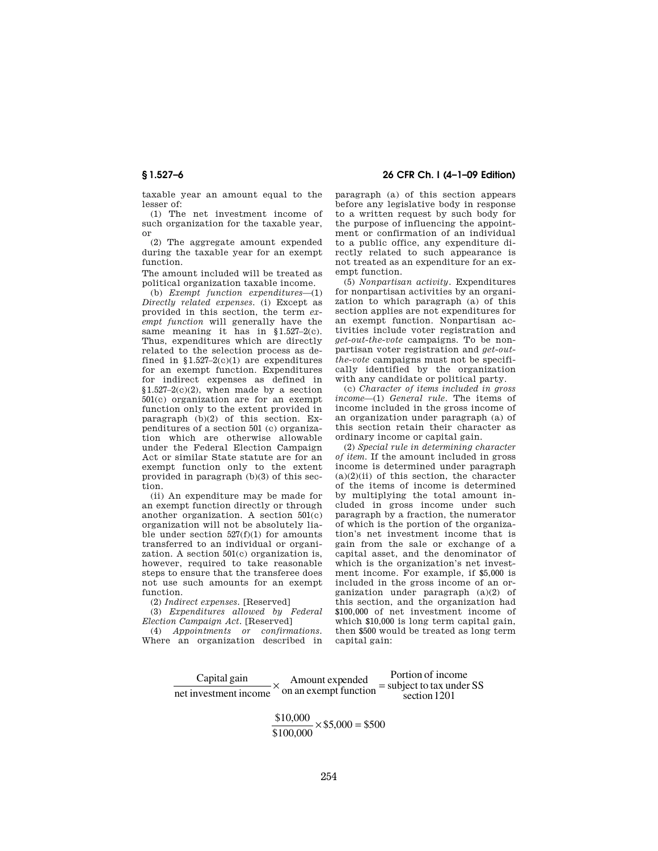taxable year an amount equal to the lesser of:

(1) The net investment income of such organization for the taxable year, or

(2) The aggregate amount expended during the taxable year for an exempt function.

The amount included will be treated as political organization taxable income.

(b) *Exempt function expenditures*—(1) *Directly related expenses.* (i) Except as provided in this section, the term *exempt function* will generally have the same meaning it has in §1.527–2(c). Thus, expenditures which are directly related to the selection process as defined in  $$1.527-2(c)(1)$  are expenditures for an exempt function. Expenditures for indirect expenses as defined in  $$1.527-2(c)(2)$ , when made by a section 501(c) organization are for an exempt function only to the extent provided in paragraph (b)(2) of this section. Expenditures of a section 501 (c) organization which are otherwise allowable under the Federal Election Campaign Act or similar State statute are for an exempt function only to the extent provided in paragraph (b)(3) of this section.

(ii) An expenditure may be made for an exempt function directly or through another organization. A section 501(c) organization will not be absolutely liable under section  $527(f)(1)$  for amounts transferred to an individual or organization. A section 501(c) organization is, however, required to take reasonable steps to ensure that the transferee does not use such amounts for an exempt function.

(2) *Indirect expenses.* [Reserved]

(3) *Expenditures allowed by Federal Election Campaign Act.* [Reserved]

(4) *Appointments or confirmations.*  Where an organization described in

# **§ 1.527–6 26 CFR Ch. I (4–1–09 Edition)**

paragraph (a) of this section appears before any legislative body in response to a written request by such body for the purpose of influencing the appointment or confirmation of an individual to a public office, any expenditure directly related to such appearance is not treated as an expenditure for an exempt function.

(5) *Nonpartisan activity.* Expenditures for nonpartisan activities by an organization to which paragraph (a) of this section applies are not expenditures for an exempt function. Nonpartisan activities include voter registration and *get-out-the-vote* campaigns. To be nonpartisan voter registration and *get-outthe-vote* campaigns must not be specifically identified by the organization with any candidate or political party.

(c) *Character of items included in gross income*—(1) *General rule.* The items of income included in the gross income of an organization under paragraph (a) of this section retain their character as ordinary income or capital gain.

(2) *Special rule in determining character of item.* If the amount included in gross income is determined under paragraph  $(a)(2)(ii)$  of this section, the character of the items of income is determined by multiplying the total amount included in gross income under such paragraph by a fraction, the numerator of which is the portion of the organization's net investment income that is gain from the sale or exchange of a capital asset, and the denominator of which is the organization's net investment income. For example, if \$5,000 is included in the gross income of an organization under paragraph (a)(2) of this section, and the organization had \$100,000 of net investment income of which \$10,000 is long term capital gain, then \$500 would be treated as long term capital gain:

| Capital gain          | Amount expended       | Portion of income<br>$=$ subject to tax under SS |  |
|-----------------------|-----------------------|--------------------------------------------------|--|
| net investment income | on an exempt function | section 1201                                     |  |

 $\frac{$10,000}{$100,000} \times $5,000 = $500$  $\frac{000}{000}$  × \$5,000